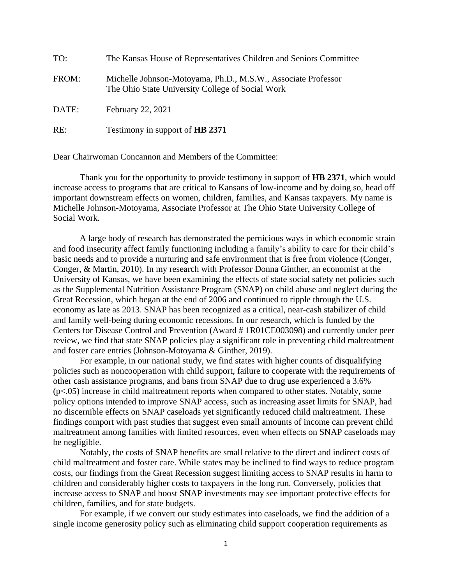| TO:   | The Kansas House of Representatives Children and Seniors Committee                                                |
|-------|-------------------------------------------------------------------------------------------------------------------|
| FROM: | Michelle Johnson-Motoyama, Ph.D., M.S.W., Associate Professor<br>The Ohio State University College of Social Work |
| DATE: | February 22, 2021                                                                                                 |
| RE:   | Testimony in support of HB 2371                                                                                   |

Dear Chairwoman Concannon and Members of the Committee:

Thank you for the opportunity to provide testimony in support of **HB 2371**, which would increase access to programs that are critical to Kansans of low-income and by doing so, head off important downstream effects on women, children, families, and Kansas taxpayers. My name is Michelle Johnson-Motoyama, Associate Professor at The Ohio State University College of Social Work.

A large body of research has demonstrated the pernicious ways in which economic strain and food insecurity affect family functioning including a family's ability to care for their child's basic needs and to provide a nurturing and safe environment that is free from violence (Conger, Conger, & Martin, 2010). In my research with Professor Donna Ginther, an economist at the University of Kansas, we have been examining the effects of state social safety net policies such as the Supplemental Nutrition Assistance Program (SNAP) on child abuse and neglect during the Great Recession, which began at the end of 2006 and continued to ripple through the U.S. economy as late as 2013. SNAP has been recognized as a critical, near-cash stabilizer of child and family well-being during economic recessions. In our research, which is funded by the Centers for Disease Control and Prevention (Award # 1R01CE003098) and currently under peer review, we find that state SNAP policies play a significant role in preventing child maltreatment and foster care entries (Johnson-Motoyama & Ginther, 2019).

For example, in our national study, we find states with higher counts of disqualifying policies such as noncooperation with child support, failure to cooperate with the requirements of other cash assistance programs, and bans from SNAP due to drug use experienced a 3.6% (p<.05) increase in child maltreatment reports when compared to other states. Notably, some policy options intended to improve SNAP access, such as increasing asset limits for SNAP, had no discernible effects on SNAP caseloads yet significantly reduced child maltreatment. These findings comport with past studies that suggest even small amounts of income can prevent child maltreatment among families with limited resources, even when effects on SNAP caseloads may be negligible.

Notably, the costs of SNAP benefits are small relative to the direct and indirect costs of child maltreatment and foster care. While states may be inclined to find ways to reduce program costs, our findings from the Great Recession suggest limiting access to SNAP results in harm to children and considerably higher costs to taxpayers in the long run. Conversely, policies that increase access to SNAP and boost SNAP investments may see important protective effects for children, families, and for state budgets.

For example, if we convert our study estimates into caseloads, we find the addition of a single income generosity policy such as eliminating child support cooperation requirements as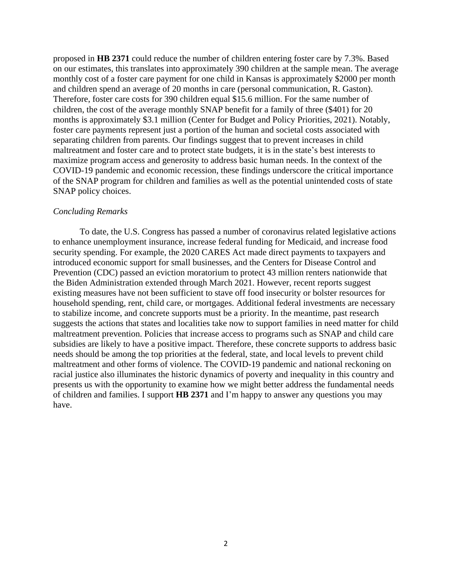proposed in **HB 2371** could reduce the number of children entering foster care by 7.3%. Based on our estimates, this translates into approximately 390 children at the sample mean. The average monthly cost of a foster care payment for one child in Kansas is approximately \$2000 per month and children spend an average of 20 months in care (personal communication, R. Gaston). Therefore, foster care costs for 390 children equal \$15.6 million. For the same number of children, the cost of the average monthly SNAP benefit for a family of three (\$401) for 20 months is approximately \$3.1 million (Center for Budget and Policy Priorities, 2021). Notably, foster care payments represent just a portion of the human and societal costs associated with separating children from parents. Our findings suggest that to prevent increases in child maltreatment and foster care and to protect state budgets, it is in the state's best interests to maximize program access and generosity to address basic human needs. In the context of the COVID-19 pandemic and economic recession, these findings underscore the critical importance of the SNAP program for children and families as well as the potential unintended costs of state SNAP policy choices.

## *Concluding Remarks*

To date, the U.S. Congress has passed a number of coronavirus related legislative actions to enhance unemployment insurance, increase federal funding for Medicaid, and increase food security spending. For example, the 2020 CARES Act made direct payments to taxpayers and introduced economic support for small businesses, and the Centers for Disease Control and Prevention (CDC) passed an eviction moratorium to protect 43 million renters nationwide that the Biden Administration extended through March 2021. However, recent reports suggest existing measures have not been sufficient to stave off food insecurity or bolster resources for household spending, rent, child care, or mortgages. Additional federal investments are necessary to stabilize income, and concrete supports must be a priority. In the meantime, past research suggests the actions that states and localities take now to support families in need matter for child maltreatment prevention. Policies that increase access to programs such as SNAP and child care subsidies are likely to have a positive impact. Therefore, these concrete supports to address basic needs should be among the top priorities at the federal, state, and local levels to prevent child maltreatment and other forms of violence. The COVID-19 pandemic and national reckoning on racial justice also illuminates the historic dynamics of poverty and inequality in this country and presents us with the opportunity to examine how we might better address the fundamental needs of children and families. I support **HB 2371** and I'm happy to answer any questions you may have.